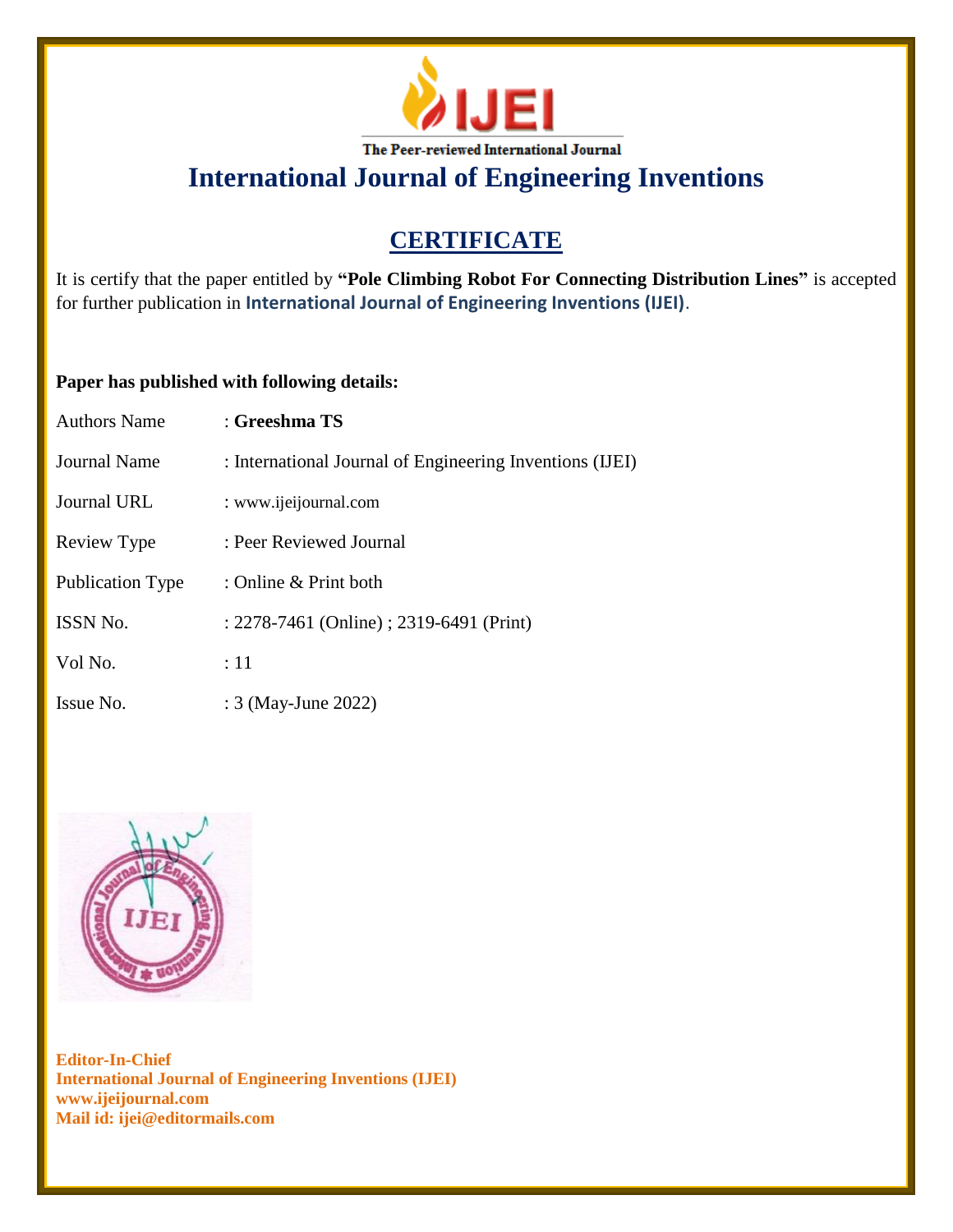

# **CERTIFICATE**

It is certify that the paper entitled by **"Pole Climbing Robot For Connecting Distribution Lines"** is accepted for further publication in **International Journal of Engineering Inventions (IJEI)**.

### **Paper has published with following details:**

| <b>Authors Name</b>     | : Greeshma TS                                            |
|-------------------------|----------------------------------------------------------|
| Journal Name            | : International Journal of Engineering Inventions (IJEI) |
| Journal URL             | : www.ijeijournal.com                                    |
| Review Type             | : Peer Reviewed Journal                                  |
| <b>Publication Type</b> | : Online & Print both                                    |
| <b>ISSN No.</b>         | : 2278-7461 (Online) ; 2319-6491 (Print)                 |
| Vol No.                 | :11                                                      |
| Issue No.               | : 3 (May-June 2022)                                      |

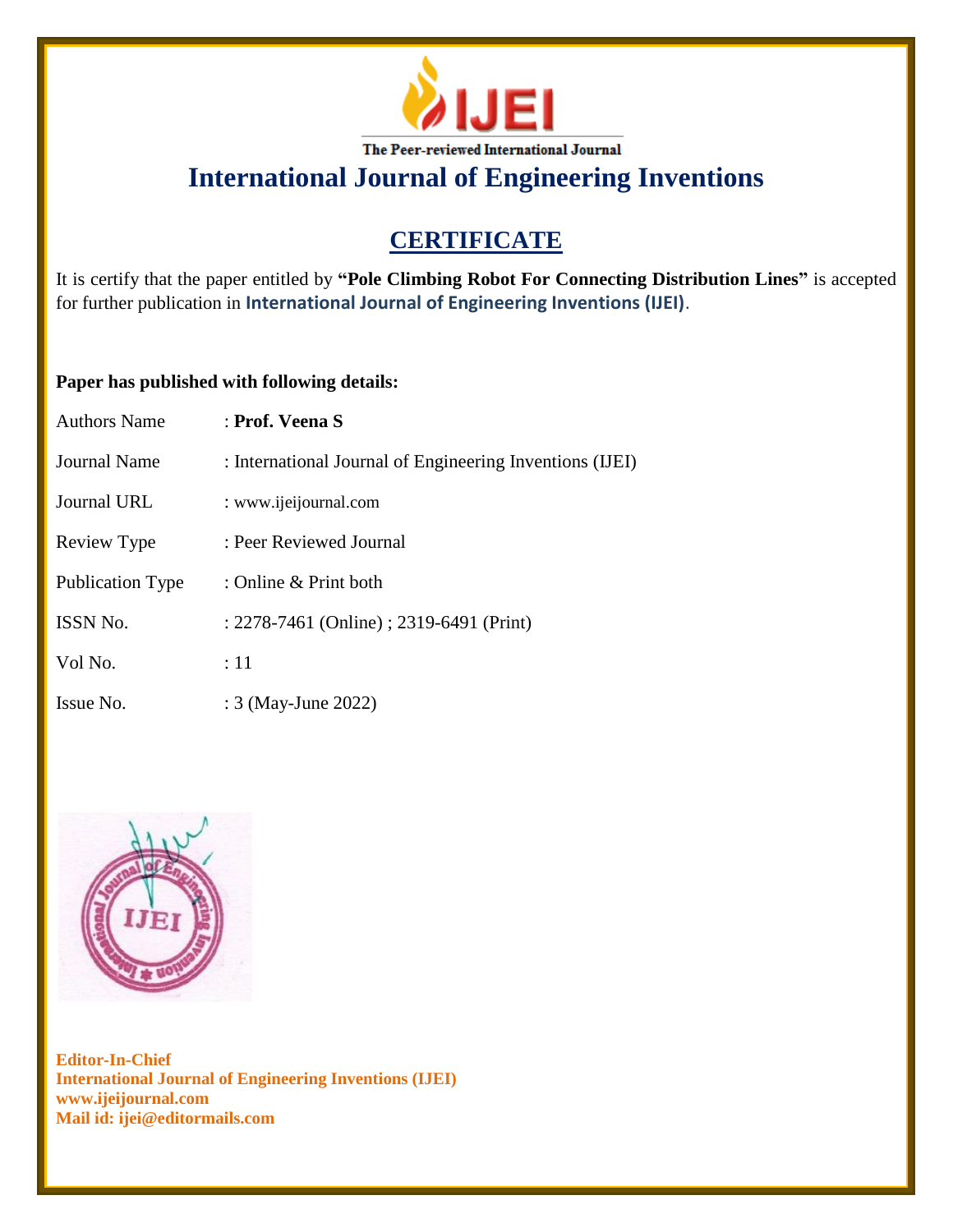

# **CERTIFICATE**

It is certify that the paper entitled by **"Pole Climbing Robot For Connecting Distribution Lines"** is accepted for further publication in **International Journal of Engineering Inventions (IJEI)**.

### **Paper has published with following details:**

| Authors Name            | : Prof. Veena S                                          |
|-------------------------|----------------------------------------------------------|
| Journal Name            | : International Journal of Engineering Inventions (IJEI) |
| Journal URL             | : www.ijeijournal.com                                    |
| Review Type             | : Peer Reviewed Journal                                  |
| <b>Publication Type</b> | : Online & Print both                                    |
| ISSN No.                | : 2278-7461 (Online) ; 2319-6491 (Print)                 |
| Vol No.                 | $\div 11$                                                |
| Issue No.               | : 3 (May-June 2022)                                      |

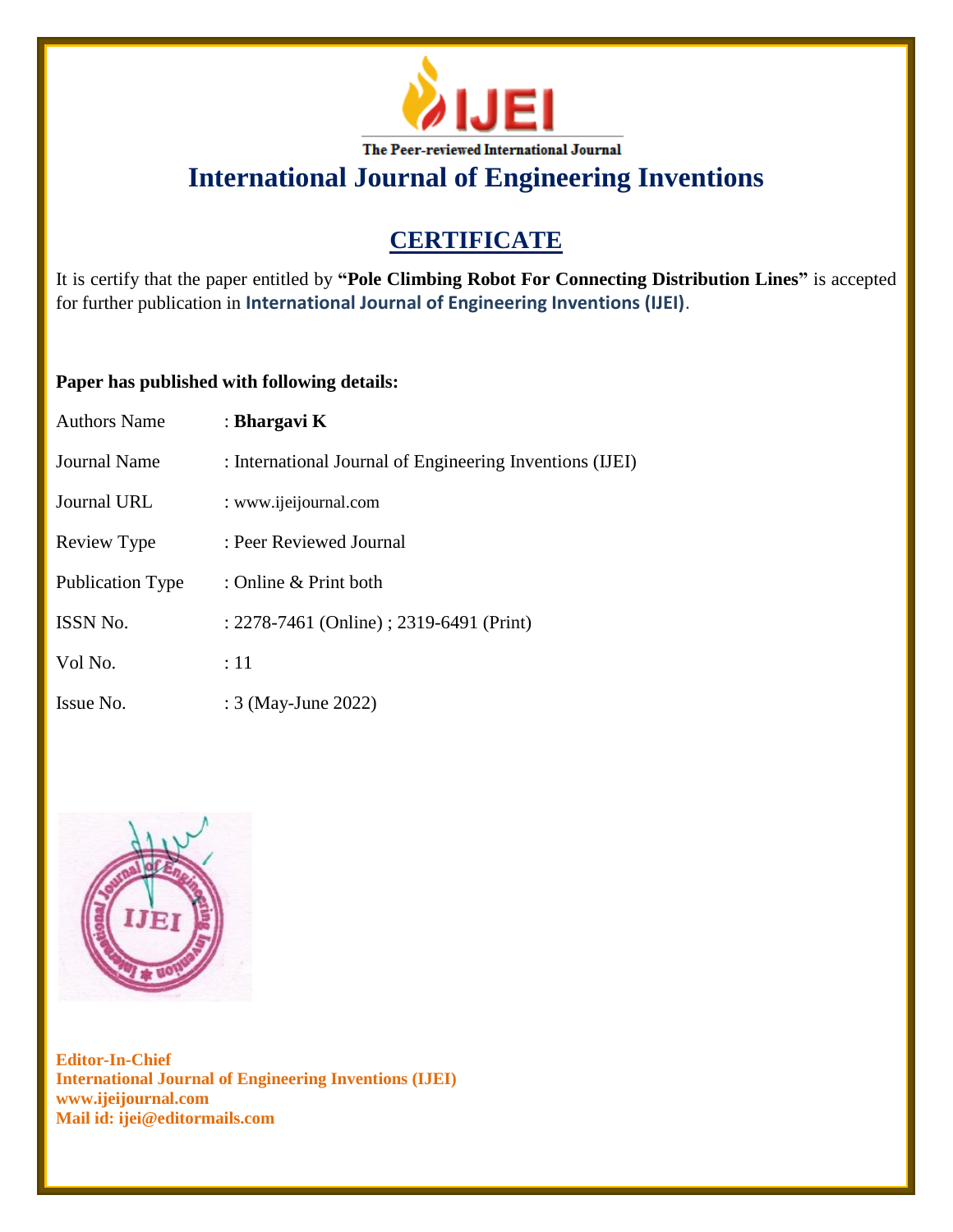

# **CERTIFICATE**

It is certify that the paper entitled by **"Pole Climbing Robot For Connecting Distribution Lines"** is accepted for further publication in **International Journal of Engineering Inventions (IJEI)**.

### **Paper has published with following details:**

| <b>Authors Name</b> | : Bhargavi K                                             |
|---------------------|----------------------------------------------------------|
| Journal Name        | : International Journal of Engineering Inventions (IJEI) |
| Journal URL         | : www.ijeijournal.com                                    |
| Review Type         | : Peer Reviewed Journal                                  |
| Publication Type    | : Online & Print both                                    |
| <b>ISSN No.</b>     | : 2278-7461 (Online) ; 2319-6491 (Print)                 |
| Vol No.             | :11                                                      |
| Issue No.           | : 3 (May-June 2022)                                      |

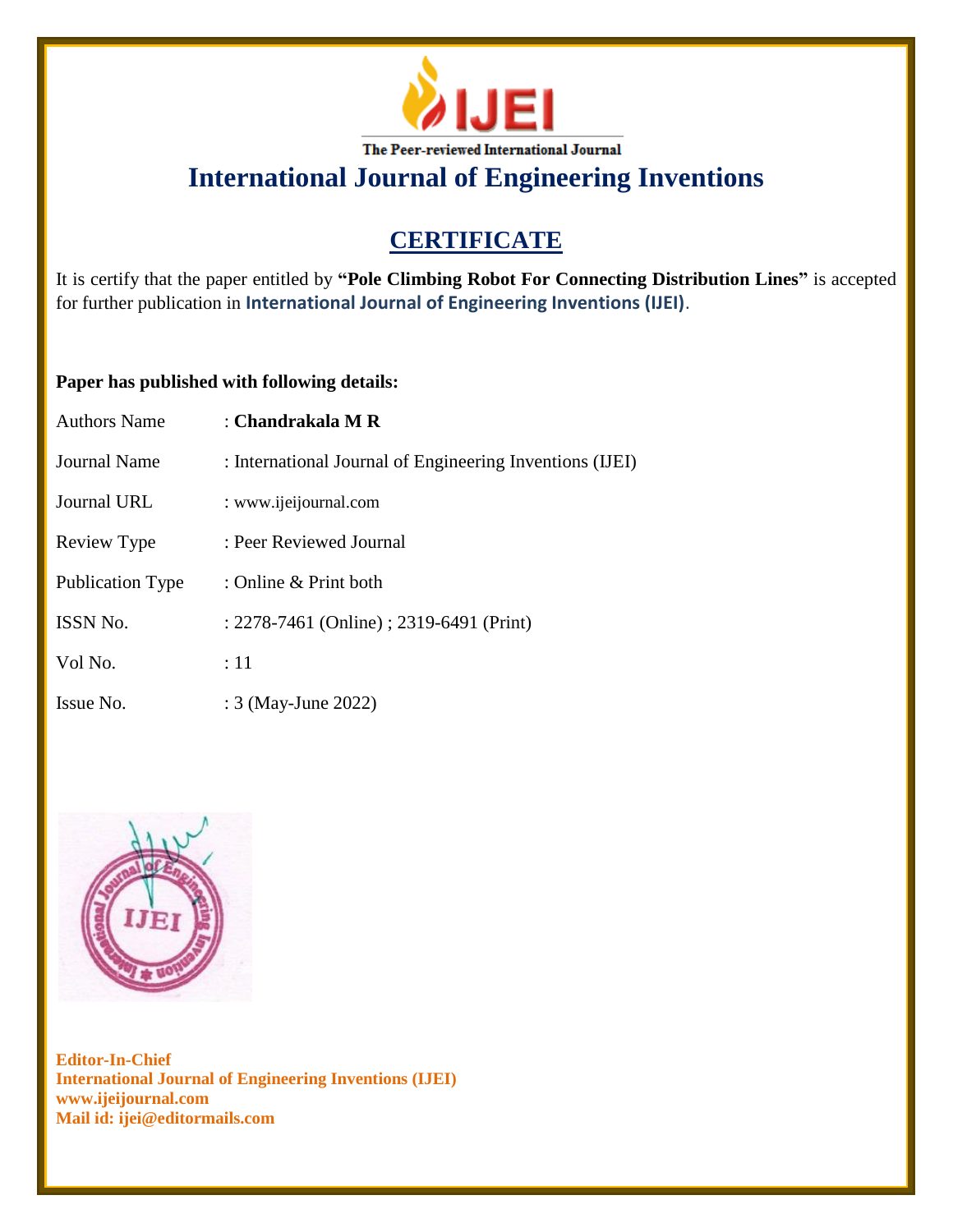

# **CERTIFICATE**

It is certify that the paper entitled by **"Pole Climbing Robot For Connecting Distribution Lines"** is accepted for further publication in **International Journal of Engineering Inventions (IJEI)**.

### **Paper has published with following details:**

| <b>Authors Name</b>     | : Chandrakala M R                                        |
|-------------------------|----------------------------------------------------------|
| Journal Name            | : International Journal of Engineering Inventions (IJEI) |
| Journal URL             | : www.ijeijournal.com                                    |
| Review Type             | : Peer Reviewed Journal                                  |
| <b>Publication Type</b> | : Online & Print both                                    |
| <b>ISSN No.</b>         | : 2278-7461 (Online) ; 2319-6491 (Print)                 |
| Vol No.                 | :11                                                      |
| Issue No.               | : 3 (May-June 2022)                                      |